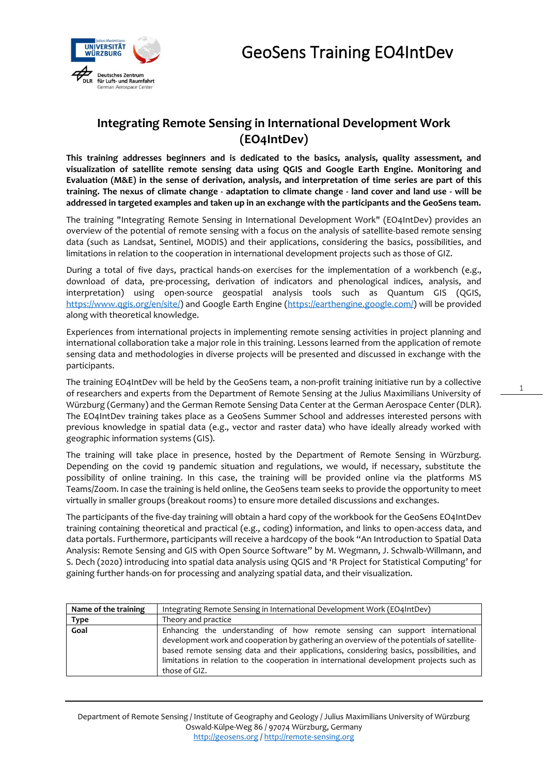1



## **Integrating Remote Sensing in International Development Work (EO4IntDev)**

**This training addresses beginners and is dedicated to the basics, analysis, quality assessment, and visualization of satellite remote sensing data using QGIS and Google Earth Engine. Monitoring and Evaluation (M&E) in the sense of derivation, analysis, and interpretation of time series are part of this training. The nexus of climate change - adaptation to climate change - land cover and land use - will be addressed in targeted examples and taken up in an exchange with the participants and the GeoSens team.**

The training "Integrating Remote Sensing in International Development Work" (EO4IntDev) provides an overview of the potential of remote sensing with a focus on the analysis of satellite-based remote sensing data (such as Landsat, Sentinel, MODIS) and their applications, considering the basics, possibilities, and limitations in relation to the cooperation in international development projects such as those of GIZ.

During a total of five days, practical hands-on exercises for the implementation of a workbench (e.g., download of data, pre-processing, derivation of indicators and phenological indices, analysis, and interpretation) using open-source geospatial analysis tools such as Quantum GIS (QGIS, [https://www.qgis.org/en/site/\)](https://www.qgis.org/en/site/) and Google Earth Engine [\(https://earthengine.google.com/\)](https://earthengine.google.com/) will be provided along with theoretical knowledge.

Experiences from international projects in implementing remote sensing activities in project planning and international collaboration take a major role in this training. Lessons learned from the application of remote sensing data and methodologies in diverse projects will be presented and discussed in exchange with the participants.

The training EO4IntDev will be held by the GeoSens team, a non-profit training initiative run by a collective of researchers and experts from the Department of Remote Sensing at the Julius Maximilians University of Würzburg (Germany) and the German Remote Sensing Data Center at the German Aerospace Center (DLR). The EO4IntDev training takes place as a GeoSens Summer School and addresses interested persons with previous knowledge in spatial data (e.g., vector and raster data) who have ideally already worked with geographic information systems (GIS).

The training will take place in presence, hosted by the Department of Remote Sensing in Würzburg. Depending on the covid 19 pandemic situation and regulations, we would, if necessary, substitute the possibility of online training. In this case, the training will be provided online via the platforms MS Teams/Zoom. In case the training is held online, the GeoSens team seeks to provide the opportunity to meet virtually in smaller groups (breakout rooms) to ensure more detailed discussions and exchanges.

The participants of the five-day training will obtain a hard copy of the workbook for the GeoSens EO4IntDev training containing theoretical and practical (e.g., coding) information, and links to open-access data, and data portals. Furthermore, participants will receive a hardcopy of the book "An Introduction to Spatial Data Analysis: Remote Sensing and GIS with Open Source Software" by M. Wegmann, J. Schwalb-Willmann, and S. Dech (2020) introducing into spatial data analysis using QGIS and 'R Project for Statistical Computing' for gaining further hands-on for processing and analyzing spatial data, and their visualization.

| Name of the training | Integrating Remote Sensing in International Development Work (EO4IntDev)                                                                                                                                                                                                                                                                                                          |  |  |  |  |  |
|----------------------|-----------------------------------------------------------------------------------------------------------------------------------------------------------------------------------------------------------------------------------------------------------------------------------------------------------------------------------------------------------------------------------|--|--|--|--|--|
| Type                 | Theory and practice                                                                                                                                                                                                                                                                                                                                                               |  |  |  |  |  |
| Goal                 | Enhancing the understanding of how remote sensing can support international<br>development work and cooperation by gathering an overview of the potentials of satellite-<br>based remote sensing data and their applications, considering basics, possibilities, and<br>limitations in relation to the cooperation in international development projects such as<br>those of GIZ. |  |  |  |  |  |

Department of Remote Sensing / Institute of Geography and Geology / Julius Maximilians University of Würzburg Oswald-Külpe-Weg 86 / 97074 Würzburg, Germany [http://geosens.org](http://geosens.org/) [/ http://remote-sensing.org](http://remote-sensing.org/)